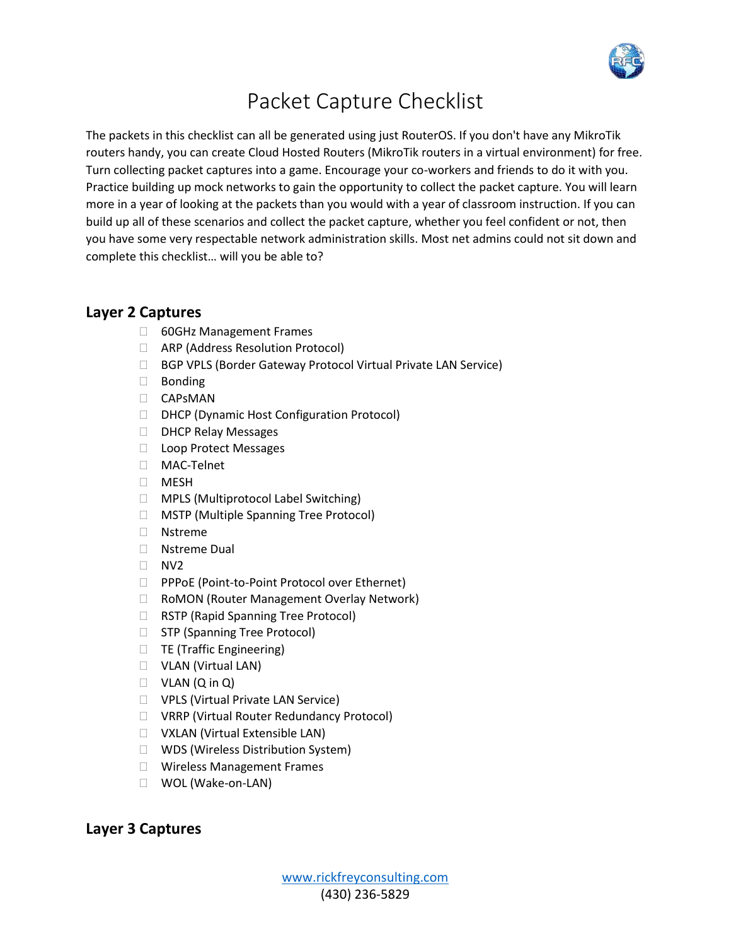

## Packet Capture Checklist

The packets in this checklist can all be generated using just RouterOS. If you don't have any MikroTik routers handy, you can create Cloud Hosted Routers (MikroTik routers in a virtual environment) for free. Turn collecting packet captures into a game. Encourage your co-workers and friends to do it with you. Practice building up mock networks to gain the opportunity to collect the packet capture. You will learn more in a year of looking at the packets than you would with a year of classroom instruction. If you can build up all of these scenarios and collect the packet capture, whether you feel confident or not, then you have some very respectable network administration skills. Most net admins could not sit down and complete this checklist… will you be able to?

## **Layer 2 Captures**

- □ 60GHz Management Frames
- ARP (Address Resolution Protocol)
- □ BGP VPLS (Border Gateway Protocol Virtual Private LAN Service)
- Bonding
- CAPsMAN
- □ DHCP (Dynamic Host Configuration Protocol)
- D DHCP Relay Messages
- □ Loop Protect Messages
- MAC-Telnet
- $\Box$  MESH
- □ MPLS (Multiprotocol Label Switching)
- MSTP (Multiple Spanning Tree Protocol)
- Nstreme
- □ Nstreme Dual
- $\Box$  NV2
- **PPPOE (Point-to-Point Protocol over Ethernet)**
- □ RoMON (Router Management Overlay Network)
- □ RSTP (Rapid Spanning Tree Protocol)
- □ STP (Spanning Tree Protocol)
- $\Box$  TE (Traffic Engineering)
- VLAN (Virtual LAN)
- $\Box$  VLAN  $(Q \text{ in } Q)$
- □ VPLS (Virtual Private LAN Service)
- VRRP (Virtual Router Redundancy Protocol)
- VXLAN (Virtual Extensible LAN)
- □ WDS (Wireless Distribution System)
- □ Wireless Management Frames
- WOL (Wake-on-LAN)

## **Layer 3 Captures**